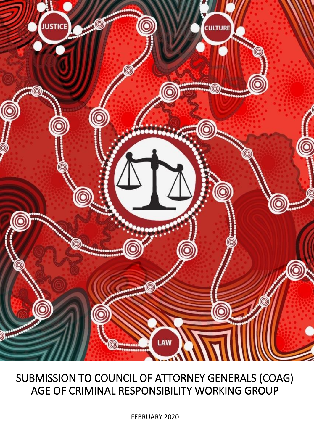

# SUBMISSION TO COUNCIL OF ATTORNEY GENERALS (COAG) AGE OF CRIMINAL RESPONSIBILITY WORKING GROUP

FEBRUARY 2020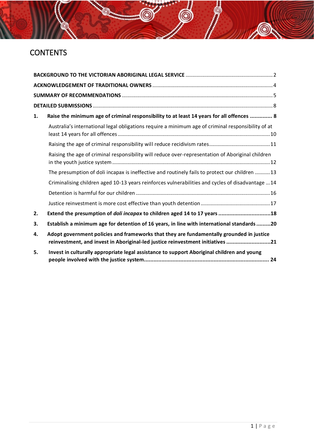# **CONTENTS**

| 1. | Raise the minimum age of criminal responsibility to at least 14 years for all offences  8                                                                                  |
|----|----------------------------------------------------------------------------------------------------------------------------------------------------------------------------|
|    | Australia's international legal obligations require a minimum age of criminal responsibility of at                                                                         |
|    |                                                                                                                                                                            |
|    | Raising the age of criminal responsibility will reduce over-representation of Aboriginal children                                                                          |
|    | The presumption of doli incapax is ineffective and routinely fails to protect our children 13                                                                              |
|    | Criminalising children aged 10-13 years reinforces vulnerabilities and cycles of disadvantage 14                                                                           |
|    |                                                                                                                                                                            |
|    |                                                                                                                                                                            |
| 2. | Extend the presumption of doli incapax to children aged 14 to 17 years 18                                                                                                  |
| 3. | Establish a minimum age for detention of 16 years, in line with international standards 20                                                                                 |
| 4. | Adopt government policies and frameworks that they are fundamentally grounded in justice<br>reinvestment, and invest in Aboriginal-led justice reinvestment initiatives 21 |
| 5. | Invest in culturally appropriate legal assistance to support Aboriginal children and young                                                                                 |

6

**AO**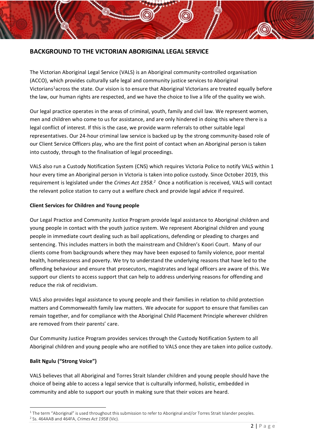## <span id="page-2-0"></span>**BACKGROUND TO THE VICTORIAN ABORIGINAL LEGAL SERVICE**

The Victorian Aboriginal Legal Service (VALS) is an Aboriginal community-controlled organisation (ACCO), which provides culturally safe legal and community justice services to Aboriginal Victorians<sup>1</sup>across the state. Our vision is to ensure that Aboriginal Victorians are treated equally before the law, our human rights are respected, and we have the choice to live a life of the quality we wish.

Our legal practice operates in the areas of criminal, youth, family and civil law. We represent women, men and children who come to us for assistance, and are only hindered in doing this where there is a legal conflict of interest. If this is the case, we provide warm referrals to other suitable legal representatives. Our 24-hour criminal law service is backed up by the strong community-based role of our Client Service Officers play, who are the first point of contact when an Aboriginal person is taken into custody, through to the finalisation of legal proceedings.

VALS also run a Custody Notification System (CNS) which requires Victoria Police to notify VALS within 1 hour every time an Aboriginal person in Victoria is taken into police custody. Since October 2019, this requirement is legislated under the *Crimes Act 1958.<sup>2</sup>* Once a notification is received, VALS will contact the relevant police station to carry out a welfare check and provide legal advice if required.

#### **Client Services for Children and Young people**

Our Legal Practice and Community Justice Program provide legal assistance to Aboriginal children and young people in contact with the youth justice system. We represent Aboriginal children and young people in immediate court dealing such as bail applications, defending or pleading to charges and sentencing. This includes matters in both the mainstream and Children's Koori Court. Many of our clients come from backgrounds where they may have been exposed to family violence, poor mental health, homelessness and poverty. We try to understand the underlying reasons that have led to the offending behaviour and ensure that prosecutors, magistrates and legal officers are aware of this. We support our clients to access support that can help to address underlying reasons for offending and reduce the risk of recidivism.

VALS also provides legal assistance to young people and their families in relation to child protection matters and Commonwealth family law matters. We advocate for support to ensure that families can remain together, and for compliance with the Aboriginal Child Placement Principle wherever children are removed from their parents' care.

Our Community Justice Program provides services through the Custody Notification System to all Aboriginal children and young people who are notified to VALS once they are taken into police custody.

#### **Balit Ngulu ("Strong Voice")**

VALS believes that all Aboriginal and Torres Strait Islander children and young people should have the choice of being able to access a legal service that is culturally informed, holistic, embedded in community and able to support our youth in making sure that their voices are heard.

 $1$  The term "Aboriginal" is used throughout this submission to refer to Aboriginal and/or Torres Strait Islander peoples.

<sup>2</sup> Ss. 464AAB and 464FA, *Crimes Act 1958* (Vic).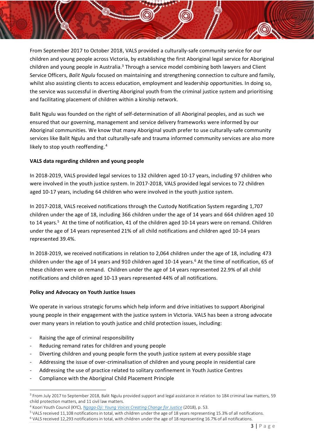From September 2017 to October 2018, VALS provided a culturally-safe community service for our children and young people across Victoria, by establishing the first Aboriginal legal service for Aboriginal children and young people in Australia.<sup>3</sup> Through a service model combining both lawyers and Client Service Officers, *Balit Ngulu* focused on maintaining and strengthening connection to culture and family, whilst also assisting clients to access education, employment and leadership opportunities. In doing so, the service was successful in diverting Aboriginal youth from the criminal justice system and prioritising and facilitating placement of children within a kinship network.

Balit Ngulu was founded on the right of self-determination of all Aboriginal peoples, and as such we ensured that our governing, management and service delivery frameworks were informed by our Aboriginal communities. We know that many Aboriginal youth prefer to use culturally-safe community services like Balit Ngulu and that culturally-safe and trauma informed community services are also more likely to stop youth reoffending.<sup>4</sup>

#### <span id="page-3-0"></span>**VALS data regarding children and young people**

In 2018-2019, VALS provided legal services to 132 children aged 10-17 years, including 97 children who were involved in the youth justice system. In 2017-2018, VALS provided legal services to 72 children aged 10-17 years, including 64 children who were involved in the youth justice system.

In 2017-2018, VALS received notifications through the Custody Notification System regarding 1,707 children under the age of 18, including 366 children under the age of 14 years and 664 children aged 10 to 14 years.<sup>5</sup> At the time of notification, 41 of the children aged 10-14 years were on remand. Children under the age of 14 years represented 21% of all child notifications and children aged 10-14 years represented 39.4%.

In 2018-2019, we received notifications in relation to 2,064 children under the age of 18, including 473 children under the age of 14 years and 910 children aged 10-14 years.<sup>6</sup> At the time of notification, 65 of these children were on remand. Children under the age of 14 years represented 22.9% of all child notifications and children aged 10-13 years represented 44% of all notifications.

#### **Policy and Advocacy on Youth Justice Issues**

We operate in various strategic forums which help inform and drive initiatives to support Aboriginal young people in their engagement with the justice system in Victoria. VALS has been a strong advocate over many years in relation to youth justice and child protection issues, including:

- Raising the age of criminal responsibility
- Reducing remand rates for children and young people
- Diverting children and young people form the youth justice system at every possible stage
- Addressing the issue of over-criminalisation of children and young people in residential care
- Addressing the use of practice related to solitary confinement in Youth Justice Centres
- Compliance with the Aboriginal Child Placement Principle

<sup>&</sup>lt;sup>3</sup> From July 2017 to September 2018, Balit Ngulu provided support and legal assistance in relation to 184 criminal law matters, 59 child protection matters, and 11 civil law matters.

<sup>4</sup> Koori Youth Council (KYC), *[Ngaga-Dji: Young Voices Creating Change for Justice](https://static1.squarespace.com/static/5b7d09f775f9ee5cf0a54a07/t/5b860aff352f53267bc3486c/1535511527195/Ngaga-dji+report+August+2018.pdf)* (2018), p. 53.

<sup>5</sup> VALS received 11,108 notifications in total, with children under the age of 18 years representing 15.3% of all notifications.

<sup>6</sup> VALS received 12,293 notifications in total, with children under the age of 18 representing 16.7% of all notifications.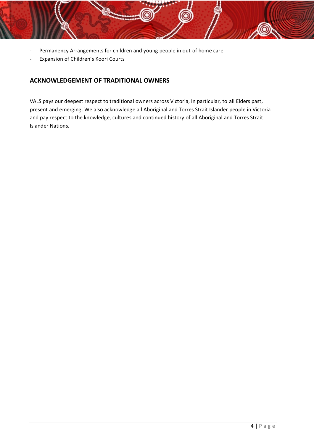- Permanency Arrangements for children and young people in out of home care
- Expansion of Children's Koori Courts

## <span id="page-4-0"></span>**ACKNOWLEDGEMENT OF TRADITIONAL OWNERS**

VALS pays our deepest respect to traditional owners across Victoria, in particular, to all Elders past, present and emerging. We also acknowledge all Aboriginal and Torres Strait Islander people in Victoria and pay respect to the knowledge, cultures and continued history of all Aboriginal and Torres Strait Islander Nations.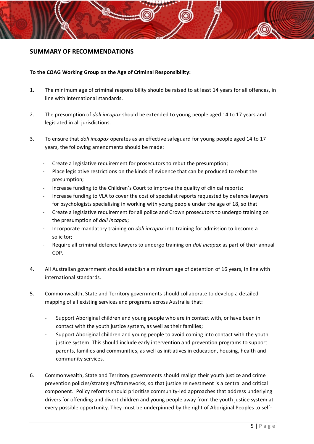#### <span id="page-5-0"></span>**SUMMARY OF RECOMMENDATIONS**

#### **To the COAG Working Group on the Age of Criminal Responsibility:**

- 1. The minimum age of criminal responsibility should be raised to at least 14 years for all offences, in line with international standards.
- 2. The presumption of *doli incapax* should be extended to young people aged 14 to 17 years and legislated in all jurisdictions.
- 3. To ensure that *doli incapax* operates as an effective safeguard for young people aged 14 to 17 years, the following amendments should be made:
	- Create a legislative requirement for prosecutors to rebut the presumption;
	- Place legislative restrictions on the kinds of evidence that can be produced to rebut the presumption;
	- Increase funding to the Children's Court to improve the quality of clinical reports;
	- Increase funding to VLA to cover the cost of specialist reports requested by defence lawyers for psychologists specialising in working with young people under the age of 18, so that
	- Create a legislative requirement for all police and Crown prosecutors to undergo training on the presumption of *doli incapax*;
	- Incorporate mandatory training on *doli incapax* into training for admission to become a solicitor;
	- Require all criminal defence lawyers to undergo training on *doli incapax* as part of their annual CDP.
- 4. All Australian government should establish a minimum age of detention of 16 years, in line with international standards.
- 5. Commonwealth, State and Territory governments should collaborate to develop a detailed mapping of all existing services and programs across Australia that:
	- Support Aboriginal children and young people who are in contact with, or have been in contact with the youth justice system, as well as their families;
	- Support Aboriginal children and young people to avoid coming into contact with the youth justice system. This should include early intervention and prevention programs to support parents, families and communities, as well as initiatives in education, housing, health and community services.
- 6. Commonwealth, State and Territory governments should realign their youth justice and crime prevention policies/strategies/frameworks, so that justice reinvestment is a central and critical component. Policy reforms should prioritise community-led approaches that address underlying drivers for offending and divert children and young people away from the youth justice system at every possible opportunity. They must be underpinned by the right of Aboriginal Peoples to self-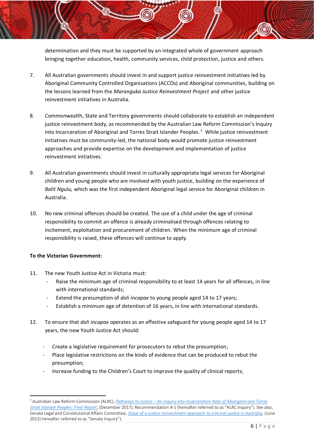determination and they must be supported by an integrated whole of government approach bringing together education, health, community services, child protection, justice and others.

- 7. All Australian governments should invest in and support justice reinvestment initiatives led by Aboriginal Community Controlled Organisations (ACCOs) and Aboriginal communities, building on the lessons learned from the *Maranguka Justice Reinvestment Project* and other justice reinvestment initiatives in Australia.
- <span id="page-6-0"></span>8. Commonwealth, State and Territory governments should collaborate to establish an independent justice reinvestment body, as recommended by the Australian Law Reform Commission's Inquiry into Incarceration of Aboriginal and Torres Strait Islander Peoples.<sup>7</sup> While justice reinvestment initiatives must be community-led, the national body would promote justice reinvestment approaches and provide expertise on the development and implementation of justice reinvestment initiatives.
- 9. All Australian governments should invest in culturally appropriate legal services for Aboriginal children and young people who are involved with youth justice, building on the experience of *Balit Ngulu,* which was the first independent Aboriginal legal service for Aboriginal children in Australia.
- 10. No new criminal offences should be created. The use of a child under the age of criminal responsibility to commit an offence is already criminalised through offences relating to incitement, exploitation and procurement of children. When the minimum age of criminal responsibility is raised, these offences will continue to apply.

#### **To the Victorian Government:**

- 11. The new Youth Justice Act in Victoria must:
	- Raise the minimum age of criminal responsibility to at least 14 years for all offences, in line with international standards;
	- Extend the presumption of *doli incapax* to young people aged 14 to 17 years;
	- Establish a minimum age of detention of 16 years, in line with international standards.
- 12. To ensure that *doli incapax* operates as an effective safeguard for young people aged 14 to 17 years, the new Youth Justice Act should:
	- Create a legislative requirement for prosecutors to rebut the presumption;
	- Place legislative restrictions on the kinds of evidence that can be produced to rebut the presumption;
	- Increase funding to the Children's Court to improve the quality of clinical reports;

<sup>7</sup> Australian Law Reform Commission (ALRC), *Pathways to Justice – [An Inquiry into Incarceration Rate of Aboriginal and Torres](https://www.alrc.gov.au/publication/pathways-to-justice-inquiry-into-the-incarceration-rate-of-aboriginal-and-torres-strait-islander-peoples-alrc-report-133/)  [Strait Islander Peoples: Final Report](https://www.alrc.gov.au/publication/pathways-to-justice-inquiry-into-the-incarceration-rate-of-aboriginal-and-torres-strait-islander-peoples-alrc-report-133/)*, (December 2017), Recommendation 4-1 (hereafter referred to as "ALRC Inquiry"). See also, Senate Legal and Constitutional Affairs Committee, *Value of a justice reinvestment approach to criminal justice in Australia*, (June 2013) hereafter referred to as "Senate Inquiry").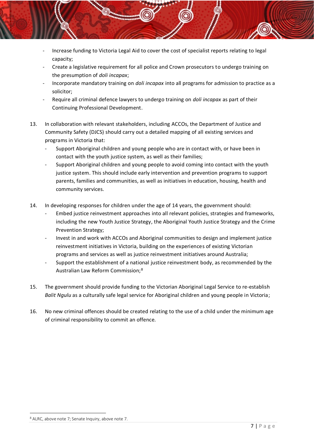- Increase funding to Victoria Legal Aid to cover the cost of specialist reports relating to legal capacity;
- Create a legislative requirement for all police and Crown prosecutors to undergo training on the presumption of *doli incapax*;
- Incorporate mandatory training on *doli incapax* into all programs for admission to practice as a solicitor;
- Require all criminal defence lawyers to undergo training on *doli incapax* as part of their Continuing Professional Development.
- 13. In collaboration with relevant stakeholders, including ACCOs, the Department of Justice and Community Safety (DJCS) should carry out a detailed mapping of all existing services and programs in Victoria that:
	- Support Aboriginal children and young people who are in contact with, or have been in contact with the youth justice system, as well as their families;
	- Support Aboriginal children and young people to avoid coming into contact with the youth justice system. This should include early intervention and prevention programs to support parents, families and communities, as well as initiatives in education, housing, health and community services.
- 14. In developing responses for children under the age of 14 years, the government should:
	- Embed justice reinvestment approaches into all relevant policies, strategies and frameworks, including the new Youth Justice Strategy, the Aboriginal Youth Justice Strategy and the Crime Prevention Strategy;
	- Invest in and work with ACCOs and Aboriginal communities to design and implement justice reinvestment initiatives in Victoria, building on the experiences of existing Victorian programs and services as well as justice reinvestment initiatives around Australia;
	- Support the establishment of a national justice reinvestment body, as recommended by the Australian Law Reform Commission;<sup>8</sup>
- 15. The government should provide funding to the Victorian Aboriginal Legal Service to re-establish *Balit Ngulu* as a culturally safe legal service for Aboriginal children and young people in Victoria;
- 16. No new criminal offences should be created relating to the use of a child under the minimum age of criminal responsibility to commit an offence.

<sup>8</sup> ALRC, above not[e 7;](#page-6-0) Senate Inquiry, above not[e 7.](#page-6-0)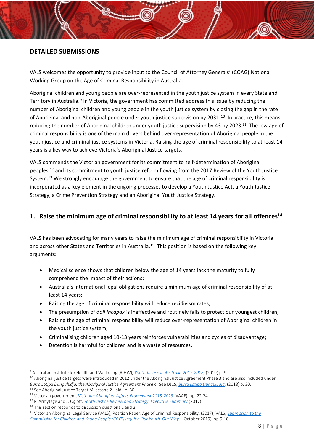### <span id="page-8-0"></span>**DETAILED SUBMISSIONS**

VALS welcomes the opportunity to provide input to the Council of Attorney Generals' (COAG) National Working Group on the Age of Criminal Responsibility in Australia.

<span id="page-8-3"></span><span id="page-8-2"></span>Aboriginal children and young people are over-represented in the youth justice system in every State and Territory in Australia.<sup>9</sup> In Victoria, the government has committed address this issue by reducing the number of Aboriginal children and young people in the youth justice system by closing the gap in the rate of Aboriginal and non-Aboriginal people under youth justice supervision by 2031.<sup>10</sup> In practice, this means reducing the number of Aboriginal children under youth justice supervision by 43 by 2023.<sup>11</sup> The low age of criminal responsibility is one of the main drivers behind over-representation of Aboriginal people in the youth justice and criminal justice systems in Victoria. Raising the age of criminal responsibility to at least 14 years is a key way to achieve Victoria's Aboriginal Justice targets.

<span id="page-8-5"></span><span id="page-8-4"></span>VALS commends the Victorian government for its commitment to self-determination of Aboriginal peoples,<sup>12</sup> and its commitment to youth justice reform flowing from the 2017 Review of the Youth Justice System.<sup>13</sup> We strongly encourage the government to ensure that the age of criminal responsibility is incorporated as a key element in the ongoing processes to develop a Youth Justice Act, a Youth Justice Strategy, a Crime Prevention Strategy and an Aboriginal Youth Justice Strategy.

## <span id="page-8-1"></span>**1. Raise the minimum age of criminal responsibility to at least 14 years for all offences<sup>14</sup>**

VALS has been advocating for many years to raise the minimum age of criminal responsibility in Victoria and across other States and Territories in Australia.<sup>15</sup> This position is based on the following key arguments:

- Medical science shows that children below the age of 14 years lack the maturity to fully comprehend the impact of their actions;
- Australia's international legal obligations require a minimum age of criminal responsibility of at least 14 years;
- Raising the age of criminal responsibility will reduce recidivism rates;
- The presumption of d*oli incapax* is ineffective and routinely fails to protect our youngest children;
- Raising the age of criminal responsibility will reduce over-representation of Aboriginal children in the youth justice system;
- Criminalising children aged 10-13 years reinforces vulnerabilities and cycles of disadvantage;
- Detention is harmful for children and is a waste of resources.

<sup>9</sup> Australian Institute for Health and Wellbeing (AIHW), *[Youth Justice in Australia 2017-2018](https://www.aihw.gov.au/getmedia/f80cfcb3-c058-4c1c-bda5-e37ba51fa66b/aihw-juv-129.pdf.aspx?inline=true)*, (2019) p. 9.

<sup>&</sup>lt;sup>10</sup> Aboriginal justice targets were introduced in 2012 under the Aboriginal Justice Agreement Phase 3 and are also included under *Burra Lotjpa Dunguludja: the Aboriginal Justice Agreement Phase 4.* See DJCS, *[Burra Lotjpa Dunguludja,](https://www.aboriginaljustice.vic.gov.au/sites/default/files/embridge_cache/emshare/original/public/2018/09/9d/784c6e742/Victorian%20Aboriginal%20Justice%20Agreement%20Phase%204.pdf)* (2018) p. 30. <sup>11</sup> See Aboriginal Justice Target Milestone 2. Ibid., p. 30.

<sup>12</sup> Victorian government, *[Victorian Aboriginal Affairs Framework 2018-2023](https://www.aboriginalvictoria.vic.gov.au/victorian-aboriginal-affairs-framework-2018-2023)* (VAAF), pp. 22-24.

<sup>13</sup> P. Armytage and J. Ogloff, *[Youth Justice Review and Strategy: Executive Summary](https://www.justice.vic.gov.au/sites/default/files/embridge_cache/emshare/original/public/2018/08/bf/6198c2b50/report_meeting_needs_and_reducing_offending_executive_summary_2017.pdf)* (2017).

<sup>&</sup>lt;sup>14</sup> This section responds to discussion questions 1 and 2.

<sup>15</sup> Victorian Aboriginal Legal Service (VALS), Position Paper: Age of Criminal Responsibility, (2017); VALS, *[Submission to the](https://vals.org.au/assets/2019/11/VALS-Submission-to-CCYP-Inquiry-Our-Youth-Our-Way-November-2019.pdf)  [Commission for Children and Young People \(CCYP\) Inquiry: Our Youth, Our Way,](https://vals.org.au/assets/2019/11/VALS-Submission-to-CCYP-Inquiry-Our-Youth-Our-Way-November-2019.pdf)* (October 2019), pp.9-10.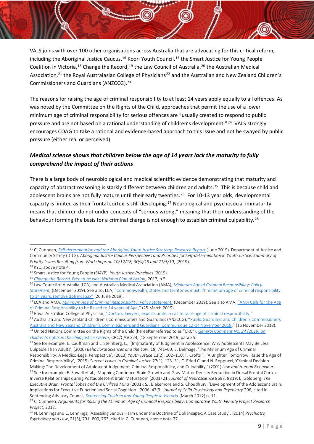<span id="page-9-2"></span>VALS joins with over 100 other organisations across Australia that are advocating for this critical reform, including the Aboriginal Justice Caucus,<sup>16</sup> Koori Youth Council,<sup>17</sup> the Smart Justice for Young People Coalition in Victoria,<sup>18</sup> Change the Record,<sup>19</sup> the Law Council of Australia,<sup>20</sup> the Australian Medical Association,<sup>21</sup> the Royal Australasian College of Physicians<sup>22</sup> and the Australian and New Zealand Children's Commissioners and Guardians (ANZCCG). 23

<span id="page-9-1"></span>The reasons for raising the age of criminal responsibility to at least 14 years apply equally to all offences. As was noted by the Committee on the Rights of the Child, approaches that permit the use of a lower minimum age of criminal responsibility for serious offences are "usually created to respond to public pressure and are not based on a rational understanding of children's development."<sup>24</sup> VALS strongly encourages COAG to take a rational and evidence-based approach to this issue and not be swayed by public pressure (either real or perceived).

## *Medical science shows that children below the age of 14 years lack the maturity to fully comprehend the impact of their actions*

<span id="page-9-0"></span>There is a large body of neurobiological and medical scientific evidence demonstrating that maturity and capacity of abstract reasoning is starkly different between children and adults. <sup>25</sup> This is because child and adolescent brains are not fully mature until their early twenties.<sup>26</sup> For 10-13 year olds, developmental capacity is limited as their frontal cortex is still developing.<sup>27</sup> Neurological and psychosocial immaturity means that children do not under concepts of "serious wrong," meaning that their understanding of the behaviour forming the basis for a criminal charge is not enough to establish criminal culpability.<sup>28</sup>

<sup>16</sup> C. Cunneen, *[Self-determination and the Aboriginal Youth Justice Strategy: Research Report](https://www.uts.edu.au/sites/default/files/2019-12/Cunneen%2C%20C.%20%282019%29%20Self-Determination%20and%20the%20Aboriginal%20Youth%20Justice%20Strategy%2C%20Jumbunna%20Institute%20for%20Indigenous%20Education%20and%20Research%2C%20UTS%2C%20Sydney_2.pdf)* (June 2019). Department of Justice and Community Safety (DJCS), *Aboriginal Justice Caucus Perspectives and Priorities for Self-determination in Youth Justice: Summary of Priority Issues Resulting from Workshops on 10/12/18, 30/4/19 and 21/5/19*, (2019). <sup>17</sup> KYC, above not[e 4.](#page-3-0)

<sup>18</sup> Smart Justice for Young People (SJ4YP), *Youth Justice Principles* (2019).

<sup>&</sup>lt;sup>19</sup> [Change the Record, Free to be kids: National Plan of Action,](http://www.natsils.org.au/portals/natsils/Change%20The%20Record%20Free%20to%20be%20Kids%20National%20Plan%20of%20Action.pdf?ver=2018-06-27-120222-650) 2017, p.5.

<sup>20</sup> Law Council of Australia (LCA) and Australian Medical Association (AMA), *[Minimum Age of Criminal Responsibility: Policy](https://www.lawcouncil.asn.au/files/pdf/policy-statement/AMA%20and%20LCA%20Policy%20Statement%20on%20Minimum%20Age%20of%20Criminal%20Responsibility.pdf?21fb2a76-c61f-ea11-9403-005056be13b5)  [Statement,](https://www.lawcouncil.asn.au/files/pdf/policy-statement/AMA%20and%20LCA%20Policy%20Statement%20on%20Minimum%20Age%20of%20Criminal%20Responsibility.pdf?21fb2a76-c61f-ea11-9403-005056be13b5)* (December 2019). See also, LCA, "[Commonwealth, states and territories must lift minimum age of criminal responsibility](https://www.lawcouncil.asn.au/media/media-releases/commonwealth-states-and-territories-must-lift-minimum-age-of-criminal-responsibility-to-14-years-remove-doli-incapax)  [to 14 years, remove doli incapax"](https://www.lawcouncil.asn.au/media/media-releases/commonwealth-states-and-territories-must-lift-minimum-age-of-criminal-responsibility-to-14-years-remove-doli-incapax) (26 June 2019).

<sup>21</sup> LCA and AMA, *[Minimum Age of Criminal Responsibility: Policy Statement,](https://www.lawcouncil.asn.au/files/pdf/policy-statement/AMA%20and%20LCA%20Policy%20Statement%20on%20Minimum%20Age%20of%20Criminal%20Responsibility.pdf?21fb2a76-c61f-ea11-9403-005056be13b5)* (December 2019). See also AMA, ["AMA Calls for the Age](https://ama.com.au/media/ama-calls-age-criminal-responsibility-be-raised-14-years-age)  [of Criminal Responsibility to be Raised to 14 years of Age](https://ama.com.au/media/ama-calls-age-criminal-responsibility-be-raised-14-years-age)," (25 March 2019).

<sup>&</sup>lt;sup>22</sup> Royal Australian College of Physician, ["Doctors, lawyers, experts unite in call to raise age of criminal responsibility."](https://www.racp.edu.au/news-and-events/media-releases/doctors-lawyers-experts-unite-in-call-to-raise-age-of-criminal-responsibility)

<sup>&</sup>lt;sup>23</sup> Australian and New Zealand Children's Commissioners and Guardians (ANZCCG), ["Public Guardians and Children's Com](https://www.humanrights.gov.au/our-work/childrens-rights/publications/australian-and-new-zealand-childrens-commissioners-and-0)missioners [Australia and New Zealand Children's Commissioners and Guardians, Communique 12](https://www.humanrights.gov.au/our-work/childrens-rights/publications/australian-and-new-zealand-childrens-commissioners-and-0)-14 November 2018," (16 November 2018). <sup>24</sup> United Nations Committee on the Rights of the Child (hereafter referred to as "CRC"), *[General Comment No. 24 \(2019\) on](http://docstore.ohchr.org/SelfServices/FilesHandler.ashx?enc=6QkG1d%2FPPRiCAqhKb7yhsqIkirKQZLK2M58RF%2F5F0vEnG3QGKUxFivhToQfjGxYjV05tUAIgpOwHQJsFPdJXCiixFSrDRwow8HeKLLh8cgOw1SN6vJ%2Bf0RPR9UMtGkA4)* 

*[children's rights in the child justice system](http://docstore.ohchr.org/SelfServices/FilesHandler.ashx?enc=6QkG1d%2FPPRiCAqhKb7yhsqIkirKQZLK2M58RF%2F5F0vEnG3QGKUxFivhToQfjGxYjV05tUAIgpOwHQJsFPdJXCiixFSrDRwow8HeKLLh8cgOw1SN6vJ%2Bf0RPR9UMtGkA4)*, CRC/C/GC/24, (18 September 2019) para 25.

<sup>&</sup>lt;sup>25</sup> See for example, E. Cauffman and L. Steinberg, L., '(Im)maturity of Judgment in Adolescence: Why Adolescents May Be Less Culpable Than Adults', (2000) *Behavioral Sciences and the Law*, 18, 741–60; E. Delmage, 'The Minimum Age of Criminal Responsibility: A Medico-Legal Perspective', (2013) *Youth Justice* 13(2), 102–110; T. Crofts T, 'A Brighter Tomorrow: Raise the Age of Criminal Responsibility', (2015) *Current Issues in Criminal Justice* 27(1), 123–31; C. Fried C. and N. Reppucci, 'Criminal Decision Making: The Development of Adolescent Judgement, Criminal Responsibility, and Culpability,' (2001) *Law and Human Behaviour.*  <sup>26</sup> See for example: E. Sowell et al., 'Mapping Continued Brain Growth and Gray Matter Density Reduction in Dorsal Frontal Cortex: Inverse Relationships during Postadolescent Brain Maturation' (2001) 21 *Journal of Neuroscience* 8697, 8819; E. Goldberg, *The Executive Brain: Frontal Lobes and the Civilized Mind* (2001); SJ. Blakemore and S. Choudhury, 'Development of the Adolescent Brain: Implications for Executive Function and Social Cognition' (2006) 47(3) *Journal of Child Psychology and Psychiatry* 296, cited in Sentencing Advisory Council, *[Sentencing Children and Young People in Victoria](https://www.sentencingcouncil.vic.gov.au/sites/default/files/2019-08/Sentencing_Children_and_Young_People_in_Victoria_0.pdf)* (March 2012) p. 11.

<sup>27</sup> C. Cunneen, *Arguments for Raising the Minimum Age of Criminal Responsibility: Comparative Youth Penalty Project Research Project*, 2017.

<sup>28</sup> N. Lennings and C. Lennings, 'Assessing Serious Harm under the Doctrine of Doli Incapax: A Case Study', (2014) *Psychiatry, Psychology and Law*, 21(5), 791–800, 793, cited in C. Cunneen, above not[e 27.](#page-9-0)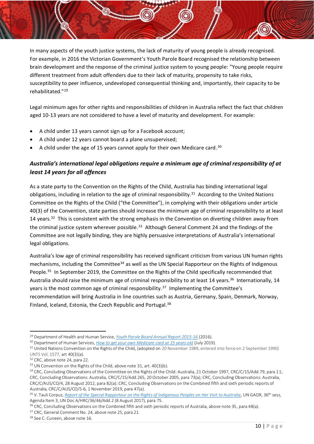In many aspects of the youth justice systems, the lack of maturity of young people is already recognised. For example, in 2016 the Victorian Government's Youth Parole Board recognised the relationship between brain development and the response of the criminal justice system to young people: "Young people require different treatment from adult offenders due to their lack of maturity, propensity to take risks, susceptibility to peer influence, undeveloped consequential thinking and, importantly, their capacity to be rehabilitated."<sup>29</sup>

Legal minimum ages for other rights and responsibilities of children in Australia reflect the fact that children aged 10-13 years are not considered to have a level of maturity and development. For example:

- A child under 13 years cannot sign up for a Facebook account;
- A child under 12 years cannot board a plane unsupervised;
- A child under the age of 15 years cannot apply for their own Medicare card.<sup>30</sup>

## <span id="page-10-0"></span>*Australia's international legal obligations require a minimum age of criminal responsibility of at least 14 years for all offences*

<span id="page-10-1"></span>As a state party to the Convention on the Rights of the Child, Australia has binding international legal obligations, including in relation to the age of criminal responsibility.<sup>31</sup> According to the United Nations Committee on the Rights of the Child ("the Committee"), in complying with their obligations under article 40(3) of the Convention, state parties should increase the minimum age of criminal responsibility to at least 14 years. $32$  This is consistent with the strong emphasis in the Convention on diverting children away from the criminal justice system wherever possible.<sup>33</sup> Although General Comment 24 and the findings of the Committee are not legally binding, they are highly persuasive interpretations of Australia's international legal obligations.

Australia's low age of criminal responsibility has received significant criticism from various UN human rights mechanisms, including the Committee<sup>34</sup> as well as the UN Special Rapporteur on the Rights of Indigenous People.<sup>35</sup> In September 2019, the Committee on the Rights of the Child specifically recommended that Australia should raise the minimum age of criminal responsibility to at least 14 years.<sup>36</sup> Internationally, 14 years is the most common age of criminal responsibility.<sup>37</sup> Implementing the Committee's recommendation will bring Australia in line countries such as Austria, Germany, Spain, Denmark, Norway, Finland, Iceland, Estonia, the Czech Republic and Portugal.<sup>38</sup>

<sup>29</sup> Department of Health and Human Service, *[Youth Parole Board Annual Report 2015-16](https://www.parliament.vic.gov.au/file_uploads/Youth_Parole_Board_Annual_Report_2015-16_L2jN9RxM.pdf)* (2016).

<sup>30</sup> Department of Human Services, *[How to get your own Medicare card at 15 years old](https://www.humanservices.gov.au/individuals/services/medicare/)* (July 2019).

<sup>&</sup>lt;sup>31</sup> United Nations Convention on the Rights of the Child, (adopted on 20 November 1989, entered into force on 2 September 1990) UNTS Vol. 1577, art 40(3)(a).

<sup>&</sup>lt;sup>32</sup> CRC, above not[e 24,](#page-9-1) para 22.

<sup>&</sup>lt;sup>33</sup> UN Convention on the Rights of the Child, above not[e 31,](#page-10-1) art. 40(3)(b).

<sup>&</sup>lt;sup>34</sup> CRC, Concluding Observations of the Committee on the Rights of the Child: Australia, 21 October 1997, CRC/C/15/Add,79, para 11; CRC, Concluding Observations: Australia, CRC/C/15/Add.265, 20 October 2005, para 73(a); CRC, Concluding Observations: Australia, CRC/C/AUS/CO/4, 28 August 2012, para 82(a); CRC, Concluding Observations on the Combined fifth and sixth periodic reports of Australia, CRC/C/AUS/CO/5-6, 1 November 2019, para 47(a).

<sup>&</sup>lt;sup>35</sup> V. Tauli Corpuz, *[Report of the Special Rapporteur on the Rights of Indigenous Peoples on Her Visit to Australia](https://documents-dds-ny.un.org/doc/UNDOC/GEN/G17/234/24/PDF/G1723424.pdf?OpenElement), UN GAOR, 36<sup>th</sup> sess,* Agenda Item 3, UN Doc A/HRC/36/46/Add.2 (8 August 2017), para 75.

<sup>&</sup>lt;sup>36</sup> CRC, Concluding Observations on the Combined fifth and sixth periodic reports of Australia, above note 35, para 48(a).

<sup>&</sup>lt;sup>37</sup> CRC, General Comment No. 24, above note 25, para 21.

<sup>38</sup> See C. Cuneen, above not[e 16.](#page-9-2)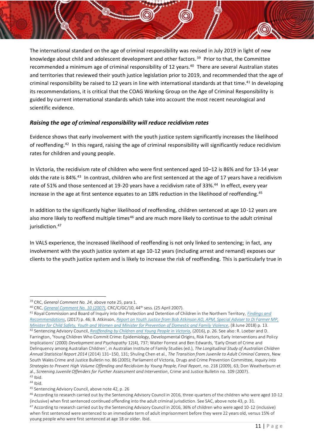<span id="page-11-2"></span>The international standard on the age of criminal responsibility was revised in July 2019 in light of new knowledge about child and adolescent development and other factors.<sup>39</sup> Prior to that, the Committee recommended a minimum age of criminal responsibility of 12 years.<sup>40</sup> There are several Australian states and territories that reviewed their youth justice legislation prior to 2019, and recommended that the age of criminal responsibility be raised to 12 years in line with international standards at that time. <sup>41</sup> In developing its recommendations, it is critical that the COAG Working Group on the Age of Criminal Responsibility is guided by current international standards which take into account the most recent neurological and scientific evidence.

## <span id="page-11-0"></span>*Raising the age of criminal responsibility will reduce recidivism rates*

<span id="page-11-1"></span>Evidence shows that early involvement with the youth justice system significantly increases the likelihood of reoffending.<sup>42</sup> In this regard, raising the age of criminal responsibility will significantly reduce recidivism rates for children and young people.

In Victoria, the recidivism rate of children who were first sentenced aged 10–12 is 86% and for 13-14 year olds the rate is 84%.<sup>43</sup> In contrast, children who are first sentenced at the age of 17 years have a recidivism rate of 51% and those sentenced at 19-20 years have a recidivism rate of 33%.<sup>44</sup> In effect, every year increase in the age at first sentence equates to an 18% reduction in the likelihood of reoffending. 45

In addition to the significantly higher likelihood of reoffending, children sentenced at age 10-12 years are also more likely to reoffend multiple times<sup>46</sup> and are much more likely to continue to the adult criminal jurisdiction. 47

In VALS experience, the increased likelihood of reoffending is not only linked to sentencing; in fact, any involvement with the youth justice system at age 10-12 years (including arrest and remand) exposes our clients to the youth justice system and is likely to increase the risk of reoffending. This is particularly true in

South Wales Crime and Justice Bulletin no. 86 (2005); Parliament of Victoria, Drugs and Crime Prevention Committee*, Inquiry into* 

<sup>39</sup> CRC, *General Comment No. 24*, above note 25, para 1.

<sup>40</sup> CRC, *[General Comment No. 10 \(2007\)](https://tbinternet.ohchr.org/_layouts/15/treatybodyexternal/Download.aspx?symbolno=CRC%2fC%2fGC%2f10&Lang=en)*, CRC/C/GC/10, 44th sess. (25 April 2007).

<sup>41</sup> Royal Commission and Board of Inquiry into the Protection and Detention of Children in the Northern Territory, *[Findings](https://www.royalcommission.gov.au/sites/default/files/2019-01/rcnt-royal-commission-nt-findings-and-recommendations.pdf) and [Recommendations](https://www.royalcommission.gov.au/sites/default/files/2019-01/rcnt-royal-commission-nt-findings-and-recommendations.pdf)*, (2017) p. 46; B. Atkinson, *[Report on Youth Justice from Bob Atkinson AO, APM, Special Adviser to Di Farmer MP,](https://www.youthjustice.qld.gov.au/resources/youthjustice/reform/youth-justice-report.pdf)  [Minister for Child Safety, Youth and Women and Minister for Prevention of Domestic and Family Violence](https://www.youthjustice.qld.gov.au/resources/youthjustice/reform/youth-justice-report.pdf)*, (8 June 2018) p. 13. <sup>42</sup> Sentencing Advisory Council, *[Reoffending by Children and Young People in Victoria](https://www.sentencingcouncil.vic.gov.au/sites/default/files/2019-08/Reoffending_by_Children_and_Young_People_in_Victoria.pdf)*, (2016), p. 26. See also: R. Loeber and D. Farrington, 'Young Children Who Commit Crime: Epidemiology, Developmental Origins, Risk Factors, Early Interventions and Policy Implications' (2000) *Development and Psychopathy* 12(4), 737; Walter Forrest and Ben Edwards, 'Early Onset of Crime and Delinquency among Australian Children*'*, in Australian Institute of Family Studies (ed.), *The Longitudinal Study of Australian Children Annual Statistical Report 2014* (2014) 131–150, 131; Shuling Chen et al., *The Transition from Juvenile to Adult Criminal Careers*, New

*Strategies to Prevent High Volume Offending and Recidivism by Young People, Final Report*, no. 218 (2009), 63; Don Weatherburn et al., *Screening Juvenile Offenders for Further Assessment and Intervention*, Crime and Justice Bulletin no. 109 (2007).

 $43$  Ibid. <sup>44</sup> Ibid.

<sup>45</sup> Sentencing Advisory Council, above not[e 42,](#page-11-1) p. 26

<sup>46</sup> According to research carried out by the Sentencing Advisory Council in 2016, three-quarters of the children who were aged 10-12 (inclusive) when first sentenced continued offending into the adult criminal jurisdiction. See SAC, above note 43, p. 31. <sup>47</sup> According to research carried out by the Sentencing Advisory Council in 2016, 36% of children who were aged 10-12 (inclusive) when first sentenced were sentenced to an immediate term of adult imprisonment before they were 22 years old, versus 15% of young people who were first sentenced at age 18 or older. Ibid.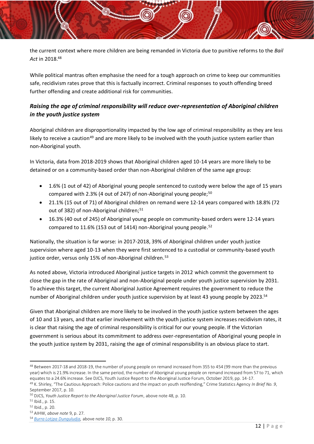<span id="page-12-1"></span>the current context where more children are being remanded in Victoria due to punitive reforms to the *Bail Act* in 2018.<sup>48</sup>

While political mantras often emphasise the need for a tough approach on crime to keep our communities safe, recidivism rates prove that this is factually incorrect. Criminal responses to youth offending breed further offending and create additional risk for communities.

## <span id="page-12-0"></span>*Raising the age of criminal responsibility will reduce over-representation of Aboriginal children in the youth justice system*

Aboriginal children are disproportionality impacted by the low age of criminal responsibility as they are less likely to receive a caution<sup>49</sup> and are more likely to be involved with the youth justice system earlier than non-Aboriginal youth.

In Victoria, data from 2018-2019 shows that Aboriginal children aged 10-14 years are more likely to be detained or on a community-based order than non-Aboriginal children of the same age group:

- 1.6% (1 out of 42) of Aboriginal young people sentenced to custody were below the age of 15 years compared with 2.3% (4 out of 247) of non-Aboriginal young people;<sup>50</sup>
- 21.1% (15 out of 71) of Aboriginal children on remand were 12-14 years compared with 18.8% (72 out of 382) of non-Aboriginal children;<sup>51</sup>
- 16.3% (40 out of 245) of Aboriginal young people on community-based orders were 12-14 years compared to 11.6% (153 out of 1414) non-Aboriginal young people.<sup>52</sup>

Nationally, the situation is far worse: in 2017-2018, 39% of Aboriginal children under youth justice supervision where aged 10-13 when they were first sentenced to a custodial or community-based youth justice order, versus only 15% of non-Aboriginal children.<sup>53</sup>

As noted above, Victoria introduced Aboriginal justice targets in 2012 which commit the government to close the gap in the rate of Aboriginal and non-Aboriginal people under youth justice supervision by 2031. To achieve this target, the current Aboriginal Justice Agreement requires the government to reduce the number of Aboriginal children under youth justice supervision by at least 43 young people by 2023.<sup>54</sup>

Given that Aboriginal children are more likely to be involved in the youth justice system between the ages of 10 and 13 years, and that earlier involvement with the youth justice system increases recidivism rates, it is clear that raising the age of criminal responsibility is critical for our young people. If the Victorian government is serious about its commitment to address over-representation of Aboriginal young people in the youth justice system by 2031, raising the age of criminal responsibility is an obvious place to start.

<sup>48</sup> Between 2017-18 and 2018-19, the number of young people on remand increased from 355 to 454 (99 more than the previous year) which is 21.9% increase. In the same period, the number of Aboriginal young people on remand increased from 57 to 71, which equates to a 24.6% increase. See DJCS, Youth Justice Report to the Aboriginal Justice Forum, October 2019, pp. 14-17.

<sup>49</sup> K. Shirley, "The Cautious Approach: Police cautions and the impact on youth reoffending," Crime Statistics Agency *In Brief No. 9*, September 2017, p. 10.

<sup>50</sup> DJCS, *Youth Justice Report to the Aboriginal Justice Forum*, above not[e 48,](#page-12-1) p. 10.

<sup>51</sup> Ibid., p. 15.

<sup>52</sup> Ibid., p. 20.

<sup>53</sup> AIHW, *above note* [9,](#page-8-2) p. 27.

<sup>54</sup> *[Burra Lotjpa Dunguludja,](https://www.aboriginaljustice.vic.gov.au/sites/default/files/embridge_cache/emshare/original/public/2018/09/9d/784c6e742/Victorian%20Aboriginal%20Justice%20Agreement%20Phase%204.pdf)* above note *[10](#page-8-3)*, p. 30.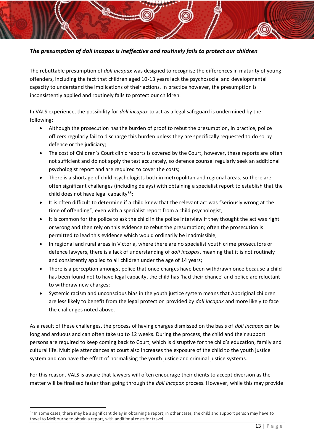## <span id="page-13-0"></span>*The presumption of doli incapax is ineffective and routinely fails to protect our children*

The rebuttable presumption of *doli incapax* was designed to recognise the differences in maturity of young offenders, including the fact that children aged 10-13 years lack the psychosocial and developmental capacity to understand the implications of their actions. In practice however, the presumption is inconsistently applied and routinely fails to protect our children.

In VALS experience, the possibility for *doli incapax* to act as a legal safeguard is undermined by the following:

- Although the prosecution has the burden of proof to rebut the presumption, in practice, police officers regularly fail to discharge this burden unless they are specifically requested to do so by defence or the judiciary;
- The cost of Children's Court clinic reports is covered by the Court, however, these reports are often not sufficient and do not apply the test accurately, so defence counsel regularly seek an additional psychologist report and are required to cover the costs;
- There is a shortage of child psychologists both in metropolitan and regional areas, so there are often significant challenges (including delays) with obtaining a specialist report to establish that the child does not have legal capacity<sup>55</sup>;
- It is often difficult to determine if a child knew that the relevant act was "seriously wrong at the time of offending", even with a specialist report from a child psychologist;
- It is common for the police to ask the child in the police interview if they thought the act was right or wrong and then rely on this evidence to rebut the presumption; often the prosecution is permitted to lead this evidence which would ordinarily be inadmissible;
- In regional and rural areas in Victoria, where there are no specialist youth crime prosecutors or defence lawyers, there is a lack of understanding of *doli incapax*, meaning that it is not routinely and consistently applied to all children under the age of 14 years;
- There is a perception amongst police that once charges have been withdrawn once because a child has been found not to have legal capacity, the child has 'had their chance' and police are reluctant to withdraw new charges;
- Systemic racism and unconscious bias in the youth justice system means that Aboriginal children are less likely to benefit from the legal protection provided by *doli incapax* and more likely to face the challenges noted above.

As a result of these challenges, the process of having charges dismissed on the basis of *doli incapax* can be long and arduous and can often take up to 12 weeks. During the process, the child and their support persons are required to keep coming back to Court, which is disruptive for the child's education, family and cultural life. Multiple attendances at court also increases the exposure of the child to the youth justice system and can have the effect of normalising the youth justice and criminal justice systems.

For this reason, VALS is aware that lawyers will often encourage their clients to accept diversion as the matter will be finalised faster than going through the *doli incapax* process. However, while this may provide

<sup>&</sup>lt;sup>55</sup> In some cases, there may be a significant delay in obtaining a report; in other cases, the child and support person may have to travel to Melbourne to obtain a report, with additional costs for travel.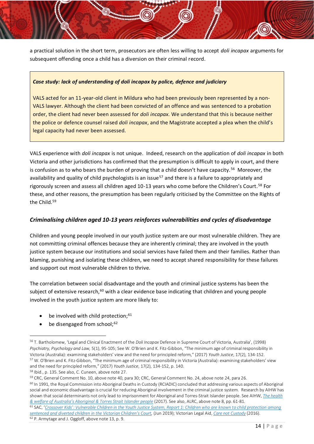a practical solution in the short term, prosecutors are often less willing to accept *doli incapax* arguments for subsequent offending once a child has a diversion on their criminal record.

#### *Case study: lack of understanding of doli incapax by police, defence and judiciary*

VALS acted for an 11-year-old client in Mildura who had been previously been represented by a non-VALS lawyer. Although the client had been convicted of an offence and was sentenced to a probation order, the client had never been assessed for *doli incapax.* We understand that this is because neither the police or defence counsel raised *doli incapax*, and the Magistrate accepted a plea when the child's legal capacity had never been assessed.

VALS experience with *doli incapax* is not unique. Indeed, research on the application of *doli incapax* in both Victoria and other jurisdictions has confirmed that the presumption is difficult to apply in court, and there is confusion as to who bears the burden of proving that a child doesn't have capacity.<sup>56</sup> Moreover, the availability and quality of child psychologists is an issue<sup>57</sup> and there is a failure to appropriately and rigorously screen and assess all children aged 10-13 years who come before the Children's Court.<sup>58</sup> For these, and other reasons, the presumption has been regularly criticised by the Committee on the Rights of the Child.<sup>59</sup>

#### <span id="page-14-0"></span>*Criminalising children aged 10-13 years reinforces vulnerabilities and cycles of disadvantage*

Children and young people involved in our youth justice system are our most vulnerable children. They are not committing criminal offences because they are inherently criminal; they are involved in the youth justice system because our institutions and social services have failed them and their families. Rather than blaming, punishing and isolating these children, we need to accept shared responsibility for these failures and support out most vulnerable children to thrive.

The correlation between social disadvantage and the youth and criminal justice systems has been the subject of extensive research,<sup>60</sup> with a clear evidence base indicating that children and young people involved in the youth justice system are more likely to:

- be involved with child protection;<sup>61</sup>
- be disengaged from school;<sup>62</sup>

<sup>59</sup> CRC, General Comment No. 10, above note [40,](#page-11-2) para 30; CRC, General Comment No. 24, above note [24,](#page-9-1) para 26.

 $60$  In 1991, the Royal Commission into Aboriginal Deaths in Custody (RCIADIC) concluded that addressing various aspects of Aboriginal social and economic disadvantage is crucial for reducing Aboriginal involvement in the criminal justice system. Research by AIHW has shown that social determinants not only lead to imprisonment for Aboriginal and Torres-Strait Islander people. See AIHW, *[The health](https://www.aihw.gov.au/reports/indigenous-healthwelfare/indigenous-health-welfare-2015/contents/table-of-contents%3e.)  [& welfare of Australia's Aboriginal & Torres Strait Islander people](https://www.aihw.gov.au/reports/indigenous-healthwelfare/indigenous-health-welfare-2015/contents/table-of-contents%3e.)* (2017). See also, ALRC, above note 8, pp. 61-81.

<sup>56</sup> T. Bartholomew, 'Legal and Clinical Enactment of the *Doli Incapax* Defence in Supreme Court of Victoria, Australia', (1998) *Psychiatry, Psychology and Law,* 5(1), 95-105; See W. O'Brien and K. Fitz-Gibbon, "The minimum age of criminal responsibility in Victoria (Australia): examining stakeholders' view and the need for principled reform," (2017) *Youth Justice*, 17(2), 134-152. <sup>57</sup> W. O'Brien and K. Fitz-Gibbon, "The minimum age of criminal responsibility in Victoria (Australia): examining stakeholders' view and the need for principled reform," (2017) *Youth Justice*, 17(2), 134-152, p. 140.

<sup>58</sup> Ibid., p. 135. See also, C. Cuneen, above not[e 27.](#page-9-0)

<sup>61</sup> SAC, '*[Crossover Kids': Vulnerable Children in the Youth Justice System, Report 1: Children who are known to child protection among](https://www.sentencingcouncil.vic.gov.au/sites/default/files/2019-08/Crossover_Kids_Report_1.pdf)  sentenced and divert[ed children in the Victorian Children's Court](https://www.sentencingcouncil.vic.gov.au/sites/default/files/2019-08/Crossover_Kids_Report_1.pdf),* (Jun 2019); Victorian Legal Aid, *[Care not Custody](http://www.legalaid.vic.gov.au/sites/www.legalaid.vic.gov.au/files/vla-care-not-custody-report.pdf)* (2016). <sup>62</sup> P. Armytage and J. Oggloff, above not[e 13,](#page-8-4) p. 9.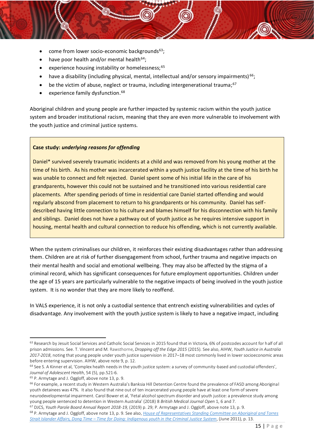- $\bullet$  come from lower socio-economic backgrounds<sup>63</sup>;
- have poor health and/or mental health<sup>64</sup>;
- experience housing instability or homelessness;<sup>65</sup>
- have a disability (including physical, mental, intellectual and/or sensory impairments) <sup>66</sup>;
- $\bullet$  be the victim of abuse, neglect or trauma, including intergenerational trauma;<sup>67</sup>
- experience family dysfunction.<sup>68</sup>

Aboriginal children and young people are further impacted by systemic racism within the youth justice system and broader institutional racism, meaning that they are even more vulnerable to involvement with the youth justice and criminal justice systems.

#### **Case study:** *underlying reasons for offending*

Daniel\* survived severely traumatic incidents at a child and was removed from his young mother at the time of his birth. As his mother was incarcerated within a youth justice facility at the time of his birth he was unable to connect and felt rejected. Daniel spent some of his initial life in the care of his grandparents, however this could not be sustained and he transitioned into various residential care placements. After spending periods of time in residential care Daniel started offending and would regularly abscond from placement to return to his grandparents or his community. Daniel has selfdescribed having little connection to his culture and blames himself for his disconnection with his family and siblings. Daniel does not have a pathway out of youth justice as he requires intensive support in housing, mental health and cultural connection to reduce his offending, which is not currently available.

When the system criminalises our children, it reinforces their existing disadvantages rather than addressing them. Children are at risk of further disengagement from school, further trauma and negative impacts on their mental health and social and emotional wellbeing. They may also be affected by the stigma of a criminal record, which has significant consequences for future employment opportunities. Children under the age of 15 years are particularly vulnerable to the negative impacts of being involved in the youth justice system. It is no wonder that they are more likely to reoffend.

In VALS experience, it is not only a custodial sentence that entrench existing vulnerabilities and cycles of disadvantage. Any involvement with the youth justice system is likely to have a negative impact, including

<sup>&</sup>lt;sup>63</sup> Research by Jesuit Social Services and Catholic Social Services in 2015 found that in Victoria, 6% of postcodes account for half of all prison admissions. See. T. Vincent and M. Rawsthorne, *Dropping off the Edge 2015* (2015). See also, AIHW, *Youth Justice in Australia 2017-2018*, noting that young people under youth justice supervision in 2017–18 most commonly lived in lower socioeconomic areas before entering supervision. AIHW, above not[e 9,](#page-8-2) p. 12.

 $64$  See S. A Kinner et al, 'Complex health needs in the youth justice system: a survey of community-based and custodial offenders', *Journal of Adolescent Health*, 54 (5), pp.521-6.

<sup>65</sup> P. Armytage and J. Oggloff, above not[e 13,](#page-8-4) p. 9.

<sup>&</sup>lt;sup>66</sup> For example, a recent study in Western Australia's Banksia Hill Detention Centre found the prevalence of FASD among Aboriginal youth detainees was 47%. It also found that nine out of ten incarcerated young people have at least one form of severe neurodevelopmental impairment. Carol Bower et al, 'Fetal alcohol spectrum disorder and youth justice: a prevalence study among young people sentenced to detention in Western Australia' (2018) 8 *British Medical Journal Open* 1, 6 and 7.

<sup>67</sup> DJCS, *Youth Parole Board Annual Report 2018-19,* (2019) p. 29; P. Armytage and J. Oggloff, above not[e 13,](#page-8-4) p. 9.

<sup>68</sup> P. Armytage and J. Oggloff, above not[e 13,](#page-8-4) p. 9. See also, *[House of Representatives Standing Committee on Aboriginal and Torres](https://www.aph.gov.au/binaries/house/committee/atsia/sentencing/report/fullreport.pdf)  Strait Islander Affairs, Dong Time – [Time for Doing: Indigenous youth in the Criminal Justice System](https://www.aph.gov.au/binaries/house/committee/atsia/sentencing/report/fullreport.pdf)*, (June 2011), p. 13.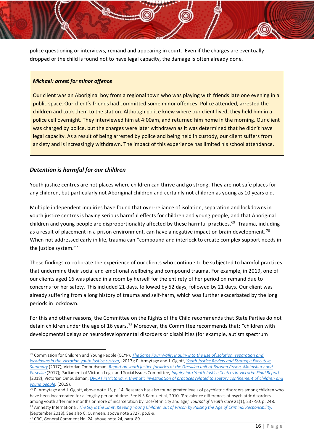police questioning or interviews, remand and appearing in court. Even if the charges are eventually dropped or the child is found not to have legal capacity, the damage is often already done.

#### *Michael: arrest for minor offence*

Our client was an Aboriginal boy from a regional town who was playing with friends late one evening in a public space. Our client's friends had committed some minor offences. Police attended, arrested the children and took them to the station. Although police knew where our client lived, they held him in a police cell overnight. They interviewed him at 4:00am, and returned him home in the morning. Our client was charged by police, but the charges were later withdrawn as it was determined that he didn't have legal capacity. As a result of being arrested by police and being held in custody, our client suffers from anxiety and is increasingly withdrawn. The impact of this experience has limited his school attendance.

#### <span id="page-16-0"></span>*Detention is harmful for our children*

Youth justice centres are not places where children can thrive and go strong. They are not safe places for any children, but particularly not Aboriginal children and certainly not children as young as 10 years old.

Multiple independent inquiries have found that over-reliance of isolation, separation and lockdowns in youth justice centres is having serious harmful effects for children and young people, and that Aboriginal children and young people are disproportionality affected by these harmful practices.<sup>69</sup> Trauma, including as a result of placement in a prison environment, can have a negative impact on brain development.<sup>70</sup> When not addressed early in life, trauma can "compound and interlock to create complex support needs in the justice system."<sup>71</sup>

These findings corroborate the experience of our clients who continue to be subjected to harmful practices that undermine their social and emotional wellbeing and compound trauma. For example, in 2019, one of our clients aged 16 was placed in a room by herself for the entirety of her period on remand due to concerns for her safety. This included 21 days, followed by 52 days, followed by 21 days. Our client was already suffering from a long history of trauma and self-harm, which was further exacerbated by the long periods in lockdown.

For this and other reasons, the Committee on the Rights of the Child recommends that State Parties do not detain children under the age of 16 years.<sup>72</sup> Moreover, the Committee recommends that: "children with developmental delays or neurodevelopmental disorders or disabilities (for example, autism spectrum

<sup>69</sup> Commission for Children and Young People (CCYP), *[The Same Four Walls: Inquiry into the use of isolation, separation and](https://ccyp.vic.gov.au/assets/Publications-inquiries/The-Same-Four-Walls1.pdf)  [lockdowns in the Victorian youth justice system](https://ccyp.vic.gov.au/assets/Publications-inquiries/The-Same-Four-Walls1.pdf)*, (2017); P. Armytage and J. Ogloff, *[Youth Justice Review and Strategy: Executive](https://www.justice.vic.gov.au/sites/default/files/embridge_cache/emshare/original/public/2018/08/bf/6198c2b50/report_meeting_needs_and_reducing_offending_executive_summary_2017.pdf)  [Summary](https://www.justice.vic.gov.au/sites/default/files/embridge_cache/emshare/original/public/2018/08/bf/6198c2b50/report_meeting_needs_and_reducing_offending_executive_summary_2017.pdf)* (2017); Victorian Ombudsman, *[Report on youth justice facilities at the Grevillea unit of Barwon Prison, Malmsbury and](https://www.ombudsman.vic.gov.au/getattachment/c6880f35-3cf3-4237-b463-9be28db448c8)  [Parkville](https://www.ombudsman.vic.gov.au/getattachment/c6880f35-3cf3-4237-b463-9be28db448c8)* (2017); Parliament of Victoria Legal and Social Issues Committee, *[Inquiry into Youth Justice Centres in Victoria: Final Report](https://www.parliament.vic.gov.au/images/stories/committees/SCLSI/Youth_Justice_System/Reports/LSIC_Inquiry_into_Youth_Justice_Centres_report_WEB.pdf)* (2018); Victorian Ombudsman, *[OPCAT in Victoria: A thematic investigation of practices related to solitary confinement of children and](https://www.ombudsman.vic.gov.au/getattachment/Publications/Parliamentary-Reports/OPCAT-in-Victoria-A-thematic-investigation-of-prac/OPCAT-in-Victoria-A-thematic-investigation-of-practices-related-to-solitary-~-September-2019.pdf.aspx)  [young people,](https://www.ombudsman.vic.gov.au/getattachment/Publications/Parliamentary-Reports/OPCAT-in-Victoria-A-thematic-investigation-of-prac/OPCAT-in-Victoria-A-thematic-investigation-of-practices-related-to-solitary-~-September-2019.pdf.aspx)* (2019).

 $70$  P. Armytage and J. Ogloff, above not[e 13,](#page-8-4) p. 14. Research has also found greater levels of psychiatric disorders among children who have been incarcerated for a lengthy period of time. See N.[S Karnik et al, 2](https://www.ncbi.nlm.nih.gov/pubmed/?term=Karnik%20NS%5BAuthor%5D&cauthor=true&cauthor_uid=20173266)010, 'Prevalence differences of psychiatric disorders among youth after nine months or more of incarceration by race/ethnicity and age,' *[Journal](https://www.ncbi.nlm.nih.gov/pubmed/20173266) of Health Care* 21(1), 237-50, p. 248. <sup>71</sup> Amnesty International, *[The Sky is the Limit: Keeping Young Children out of Prison by Raising the Age of Criminal Responsibility,](https://www.amnesty.org.au/wp-content/uploads/2018/09/The-Sky-is-the-Limit-FINAL-1.pdf)* (September 2018). See also C. Cunneen, above note [2727,](#page-9-0) pp.8-9.

<sup>72</sup> CRC, General Comment No. 24, above note [24,](#page-9-1) para. 89.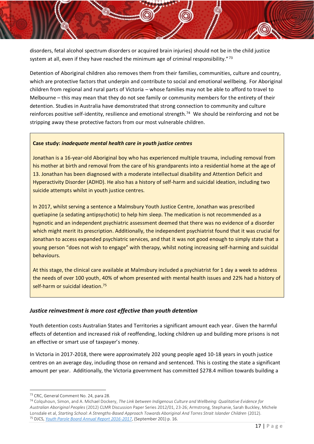disorders, fetal alcohol spectrum disorders or acquired brain injuries) should not be in the child justice system at all, even if they have reached the minimum age of criminal responsibility."73

Detention of Aboriginal children also removes them from their families, communities, culture and country, which are protective factors that underpin and contribute to social and emotional wellbeing. For Aboriginal children from regional and rural parts of Victoria – whose families may not be able to afford to travel to Melbourne – this may mean that they do not see family or community members for the entirety of their detention. Studies in Australia have demonstrated that strong connection to community and culture reinforces positive self-identity, resilience and emotional strength.<sup>74</sup> We should be reinforcing and not be stripping away these protective factors from our most vulnerable children.

#### **Case study:** *inadequate mental health care in youth justice centres*

Jonathan is a 16-year-old Aboriginal boy who has experienced multiple trauma, including removal from his mother at birth and removal from the care of his grandparents into a residential home at the age of 13. Jonathan has been diagnosed with a moderate intellectual disability and Attention Deficit and Hyperactivity Disorder (ADHD). He also has a history of self-harm and suicidal ideation, including two suicide attempts whilst in youth justice centres.

In 2017, whilst serving a sentence a Malmsbury Youth Justice Centre, Jonathan was prescribed quetiapine (a sedating antipsychotic) to help him sleep. The medication is not recommended as a hypnotic and an independent psychiatric assessment deemed that there was no evidence of a disorder which might merit its prescription. Additionally, the independent psychiatrist found that it was crucial for Jonathan to access expanded psychiatric services, and that it was not good enough to simply state that a young person "does not wish to engage" with therapy, whilst noting increasing self-harming and suicidal behaviours.

At this stage, the clinical care available at Malmsbury included a psychiatrist for 1 day a week to address the needs of over 100 youth, 40% of whom presented with mental health issues and 22% had a history of self-harm or suicidal ideation. 75

#### <span id="page-17-0"></span>*Justice reinvestment is more cost effective than youth detention*

Youth detention costs Australian States and Territories a significant amount each year. Given the harmful effects of detention and increased risk of reoffending, locking children up and building more prisons is not an effective or smart use of taxpayer's money.

In Victoria in 2017-2018, there were approximately 202 young people aged 10-18 years in youth justice centres on an average day, including those on remand and sentenced. This is costing the state a significant amount per year. Additionally, the Victoria government has committed \$278.4 million towards building a

<sup>73</sup> CRC, General Comment No. 24, para 28.

<sup>74</sup> Colquhoun, Simon, and A. Michael Dockery, *The Link between Indigenous Culture and Wellbeing: Qualitative Evidence for Australian Aboriginal Peoples* (2012) CLMR Discussion Paper Series 2012/01, 23-26; Armstrong, Stephanie, Sarah Buckley, Michele Lonsdale et al, *Starting School: A Strengths‐Based Approach Towards Aboriginal And Torres Strait Islander Children* (2012). <sup>75</sup> DJCS, *[Youth Parole Board Annual Report 2016-2017](https://www.justice.vic.gov.au/index.php/sites/default/files/embridge_cache/emshare/original/public/2018/08/2f/7a73bdaeb/youth_parole_board_annual_report_2016%E2%80%9317.pdf)*, (September 201) p. 16.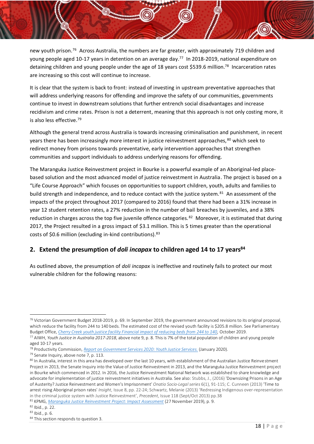new youth prison.<sup>76</sup> Across Australia, the numbers are far greater, with approximately 719 children and young people aged 10-17 years in detention on an average day. <sup>77</sup> In 2018-2019, national expenditure on detaining children and young people under the age of 18 years cost \$539.6 million.<sup>78</sup> Incarceration rates are increasing so this cost will continue to increase.

It is clear that the system is back to front: instead of investing in upstream preventative approaches that will address underlying reasons for offending and improve the safety of our communities, governments continue to invest in downstream solutions that further entrench social disadvantages and increase recidivism and crime rates. Prison is not a deterrent, meaning that this approach is not only costing more, it is also less effective. 79

Although the general trend across Australia is towards increasing criminalisation and punishment, in recent years there has been increasingly more interest in justice reinvestment approaches, <sup>80</sup> which seek to redirect money from prisons towards preventative, early intervention approaches that strengthen communities and support individuals to address underlying reasons for offending.

<span id="page-18-1"></span>The Maranguka Justice Reinvestment project in Bourke is a powerful example of an Aboriginal-led placebased solution and the most advanced model of justice reinvestment in Australia. The project is based on a "Life Course Approach" which focuses on opportunities to support children, youth, adults and families to build strength and independence, and to reduce contact with the justice system.<sup>81</sup> An assessment of the impacts of the project throughout 2017 (compared to 2016) found that there had been a 31% increase in year 12 student retention rates, a 27% reduction in the number of bail breaches by juveniles, and a 38% reduction in charges across the top five juvenile offence categories.<sup>82</sup> Moreover, it is estimated that during 2017, the Project resulted in a gross impact of \$3.1 million. This is 5 times greater than the operational costs of \$0.6 million (excluding in-kind contributions).<sup>83</sup>

## <span id="page-18-0"></span>**2. Extend the presumption of** *doli incapax* **to children aged 14 to 17 years<sup>84</sup>**

As outlined above, the presumption of *doli incapax* is ineffective and routinely fails to protect our most vulnerable children for the following reasons:

 $76$  Victorian Government Budget 2018-2019, p. 69. In September 2019, the government announced revisions to its original proposal, which reduce the facility from 244 to 140 beds. The estimated cost of the revised youth facility is \$205.8 million. See Parliamentary Budget Office, *[Cherry Creek youth justice facility Financial impact of reducing beds from 244 to 140,](https://pbo.vic.gov.au/) October 2019.* 

<sup>77</sup> AIWH, *Youth Justice in Australia 2017-2018*, above not[e 9,](#page-8-2) p. 8. This is 7% of the total population of children and young people aged 10-17 years.

<sup>78</sup> Productivity Commission, *[Report on Government Services 2020: Youth Justice Services.](https://www.pc.gov.au/research/ongoing/report-on-government-services/2020/community-services/youth-justice)* (January 2020).

<sup>79</sup> Senate Inquiry, above not[e 7,](#page-6-0) p. 113.

<sup>&</sup>lt;sup>80</sup> In Australia, interest in this area has developed over the last 10 years, with establishment of the Australian Justice Reinvestment Project in 2013, the Senate Inquiry into the Value of Justice Reinvestment in 2013, and the Maranguka Justice Reinvestment project in Bourke which commenced in 2012. In 2016, the Justice Reinvestment National Network was established to share knowledge and advocate for implementation of justice reinvestment initiatives in Australia. See also: Stubbs, J., (2016) ['Downsizing](http://ssrn.com/abstract=2636756) Prisons in an Age of Austerity? Justice Reinvestment and Women's [Imprisonment'](http://ssrn.com/abstract=2636756) *Onatio Socio-Legal series* 6(1), 91-115; C. Cunneen (2013) ['Time](http://vcoss.org.au/documents/2013/06/Insight8.ChrisCunneen.Final_.pdf) to arrest rising [Aboriginal](http://vcoss.org.au/documents/2013/06/Insight8.ChrisCunneen.Final_.pdf) prison rates' *Insight*, Issue 8, pp. 22-24; Schwartz, Melanie (2013) 'Redressing Indigenous over-representation in the criminal justice system with Justice Reinvestment', *Precedent*, Issue 118 (Sept/Oct 2013) pp.38

<sup>81</sup> KPMG, *[Maranguka Justice Reinvestment Project: Impact Assessment](http://www.justreinvest.org.au/wp-content/uploads/2018/11/Maranguka-Justice-Reinvestment-Project-KPMG-Impact-Assessment-FINAL-REPORT.pdf)* (27 November 2019), p. 9.

<sup>82</sup> Ibid., p. 22.

<sup>83</sup> Ibid., p. 6.

<sup>84</sup> This section responds to question 3.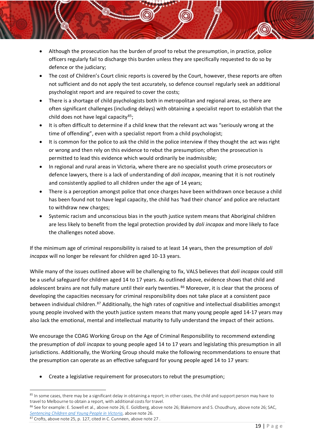- Although the prosecution has the burden of proof to rebut the presumption, in practice, police officers regularly fail to discharge this burden unless they are specifically requested to do so by defence or the judiciary;
- The cost of Children's Court clinic reports is covered by the Court, however, these reports are often not sufficient and do not apply the test accurately, so defence counsel regularly seek an additional psychologist report and are required to cover the costs;
- There is a shortage of child psychologists both in metropolitan and regional areas, so there are often significant challenges (including delays) with obtaining a specialist report to establish that the child does not have legal capacity<sup>85</sup>;
- It is often difficult to determine if a child knew that the relevant act was "seriously wrong at the time of offending", even with a specialist report from a child psychologist;
- It is common for the police to ask the child in the police interview if they thought the act was right or wrong and then rely on this evidence to rebut the presumption; often the prosecution is permitted to lead this evidence which would ordinarily be inadmissible;
- In regional and rural areas in Victoria, where there are no specialist youth crime prosecutors or defence lawyers, there is a lack of understanding of *doli incapax*, meaning that it is not routinely and consistently applied to all children under the age of 14 years;
- There is a perception amongst police that once charges have been withdrawn once because a child has been found not to have legal capacity, the child has 'had their chance' and police are reluctant to withdraw new charges;
- Systemic racism and unconscious bias in the youth justice system means that Aboriginal children are less likely to benefit from the legal protection provided by *doli incapax* and more likely to face the challenges noted above.

If the minimum age of criminal responsibility is raised to at least 14 years, then the presumption of *doli incapax* will no longer be relevant for children aged 10-13 years.

While many of the issues outlined above will be challenging to fix, VALS believes that *doli incapax* could still be a useful safeguard for children aged 14 to 17 years. As outlined above, evidence shows that child and adolescent brains are not fully mature until their early twenties. <sup>86</sup> Moreover, it is clear that the process of developing the capacities necessary for criminal responsibility does not take place at a consistent pace between individual children.<sup>87</sup> Additionally, the high rates of cognitive and intellectual disabilities amongst young people involved with the youth justice system means that many young people aged 14-17 years may also lack the emotional, mental and intellectual maturity to fully understand the impact of their actions.

We encourage the COAG Working Group on the Age of Criminal Responsibility to recommend extending the presumption of *doli incapax* to young people aged 14 to 17 years and legislating this presumption in all jurisdictions. Additionally, the Working Group should make the following recommendations to ensure that the presumption can operate as an effective safeguard for young people aged 14 to 17 years:

• Create a legislative requirement for prosecutors to rebut the presumption;

<sup>&</sup>lt;sup>85</sup> In some cases, there may be a significant delay in obtaining a report; in other cases, the child and support person may have to travel to Melbourne to obtain a report, with additional costs for travel.

<sup>86</sup> See for example: E. Sowell et al., above note 26; E. Goldberg, above note 26; Blakemore and S. Choudhury, above note 26; SAC, *[Sentencing Children and Young People in Victoria](https://www.sentencingcouncil.vic.gov.au/sites/default/files/2019-08/Sentencing_Children_and_Young_People_in_Victoria_0.pdf)*, above note 26.

<sup>87</sup> Crofts, above note 25, p. 127, cited in C. Cunneen, above not[e 27](#page-9-0) .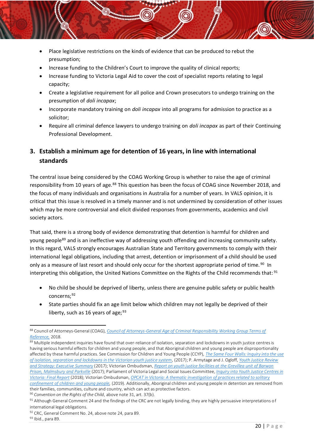- Place legislative restrictions on the kinds of evidence that can be produced to rebut the presumption;
- Increase funding to the Children's Court to improve the quality of clinical reports;
- Increase funding to Victoria Legal Aid to cover the cost of specialist reports relating to legal capacity;
- Create a legislative requirement for all police and Crown prosecutors to undergo training on the presumption of *doli incapax*;
- Incorporate mandatory training on *doli incapax* into all programs for admission to practice as a solicitor;
- Require all criminal defence lawyers to undergo training on *doli incapax* as part of their Continuing Professional Development.

# <span id="page-20-0"></span>**3. Establish a minimum age for detention of 16 years, in line with international standards**

The central issue being considered by the COAG Working Group is whether to raise the age of criminal responsibility from 10 years of age.<sup>88</sup> This question has been the focus of COAG since November 2018, and the focus of many individuals and organisations in Australia for a number of years. In VALS opinion, it is critical that this issue is resolved in a timely manner and is not undermined by consideration of other issues which may be more controversial and elicit divided responses from governments, academics and civil society actors.

That said, there is a strong body of evidence demonstrating that detention is harmful for children and young people<sup>89</sup> and is an ineffective way of addressing youth offending and increasing community safety. In this regard, VALS strongly encourages Australian State and Territory governments to comply with their international legal obligations, including that arrest, detention or imprisonment of a child should be used only as a measure of last resort and should only occur for the shortest appropriate period of time.<sup>90</sup> In interpreting this obligation, the United Nations Committee on the Rights of the Child recommends that: <sup>91</sup>

- No child be should be deprived of liberty, unless there are genuine public safety or public health concerns; 92
- State parties should fix an age limit below which children may not legally be deprived of their liberty, such as 16 years of age;  $93$

<sup>88</sup> Council of Attorneys-General (COAG), *[Council of Attorneys-General Age of Criminal Responsibility Working Group Terms of](https://www.department.justice.wa.gov.au/_files/TOR-age-criminal-responsibility.pdf)  [Reference,](https://www.department.justice.wa.gov.au/_files/TOR-age-criminal-responsibility.pdf)* 2018.

<sup>89</sup> Multiple independent inquiries have found that over-reliance of isolation, separation and lockdowns in youth justice centres is having serious harmful effects for children and young people, and that Aboriginal children and young people are disproportionality affected by these harmful practices. See Commission for Children and Young People (CCYP), *[The Same Four Walls: Inquiry into the use](https://ccyp.vic.gov.au/assets/Publications-inquiries/The-Same-Four-Walls1.pdf)  [of isolation, separation and lockdowns in the Victorian youth justice system](https://ccyp.vic.gov.au/assets/Publications-inquiries/The-Same-Four-Walls1.pdf)*, (2017); P. Armytage and J. Ogloff, *[Youth Justice Review](https://www.justice.vic.gov.au/sites/default/files/embridge_cache/emshare/original/public/2018/08/bf/6198c2b50/report_meeting_needs_and_reducing_offending_executive_summary_2017.pdf)  [and Strategy: Executive Summary](https://www.justice.vic.gov.au/sites/default/files/embridge_cache/emshare/original/public/2018/08/bf/6198c2b50/report_meeting_needs_and_reducing_offending_executive_summary_2017.pdf)* (2017); Victorian Ombudsman, *[Report on youth justice facilities at the Grevillea unit of Barwon](https://www.ombudsman.vic.gov.au/getattachment/c6880f35-3cf3-4237-b463-9be28db448c8)  [Prison, Malmsbury and Parkville](https://www.ombudsman.vic.gov.au/getattachment/c6880f35-3cf3-4237-b463-9be28db448c8)* (2017); Parliament of Victoria Legal and Social Issues Committee, *[Inquiry into Youth Justice Centres in](https://www.parliament.vic.gov.au/images/stories/committees/SCLSI/Youth_Justice_System/Reports/LSIC_Inquiry_into_Youth_Justice_Centres_report_WEB.pdf)  [Victoria: Final Report](https://www.parliament.vic.gov.au/images/stories/committees/SCLSI/Youth_Justice_System/Reports/LSIC_Inquiry_into_Youth_Justice_Centres_report_WEB.pdf)* (2018); Victorian Ombudsman, *[OPCAT in Victoria: A thematic investigation of practices related to solitary](https://www.ombudsman.vic.gov.au/getattachment/Publications/Parliamentary-Reports/OPCAT-in-Victoria-A-thematic-investigation-of-prac/OPCAT-in-Victoria-A-thematic-investigation-of-practices-related-to-solitary-~-September-2019.pdf.aspx)  [confinement of children and young people,](https://www.ombudsman.vic.gov.au/getattachment/Publications/Parliamentary-Reports/OPCAT-in-Victoria-A-thematic-investigation-of-prac/OPCAT-in-Victoria-A-thematic-investigation-of-practices-related-to-solitary-~-September-2019.pdf.aspx)* (2019). Additionally, Aboriginal children and young people in detention are removed from their families, communities, culture and country, which can act as protective factors.

<sup>90</sup> *Convention on the Rights of the Child*, above not[e 31,](#page-10-1) art. 37(b).

<sup>91</sup> Although General Comment 24 and the findings of the CRC are not legally binding, they are highly persuasive interpretations of international legal obligations.

<sup>92</sup> CRC. General Comment No. [24,](#page-9-1) above note 24, para 89.

<sup>93</sup> Ibid., para 89.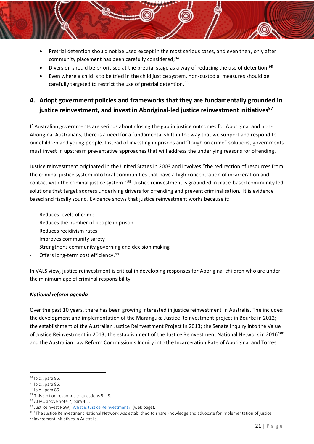- Pretrial detention should not be used except in the most serious cases, and even then, only after community placement has been carefully considered; 94
- Diversion should be prioritised at the pretrial stage as a way of reducing the use of detention;<sup>95</sup>
- Even where a child is to be tried in the child justice system, non-custodial measures should be carefully targeted to restrict the use of pretrial detention. 96

## <span id="page-21-0"></span>**4. Adopt government policies and frameworks that they are fundamentally grounded in justice reinvestment, and invest in Aboriginal-led justice reinvestment initiatives<sup>97</sup>**

If Australian governments are serious about closing the gap in justice outcomes for Aboriginal and non-Aboriginal Australians, there is a need for a fundamental shift in the way that we support and respond to our children and young people. Instead of investing in prisons and "tough on crime" solutions, governments must invest in upstream preventative approaches that will address the underlying reasons for offending.

Justice reinvestment originated in the United States in 2003 and involves "the redirection of resources from the criminal justice system into local communities that have a high concentration of incarceration and contact with the criminal justice system."<sup>98</sup> Justice reinvestment is grounded in place-based community led solutions that target address underlying drivers for offending and prevent criminalisation. It is evidence based and fiscally sound. Evidence shows that justice reinvestment works because it:

- Reduces levels of crime
- Reduces the number of people in prison
- Reduces recidivism rates
- Improves community safety
- Strengthens community governing and decision making
- Offers long-term cost efficiency.<sup>99</sup>

In VALS view, justice reinvestment is critical in developing responses for Aboriginal children who are under the minimum age of criminal responsibility.

#### *National reform agenda*

Over the past 10 years, there has been growing interested in justice reinvestment in Australia. The includes: the development and implementation of the Maranguka Justice Reinvestment project in Bourke in 2012; the establishment of the Australian Justice Reinvestment Project in 2013; the Senate Inquiry into the Value of Justice Reinvestment in 2013; the establishment of the Justice Reinvestment National Network in 2016<sup>100</sup> and the Australian Law Reform Commission's Inquiry into the Incarceration Rate of Aboriginal and Torres

<sup>94</sup> Ibid., para 86.

<sup>95</sup> Ibid., para 86.

<sup>96</sup> Ibid., para 86.

 $97$  This section responds to questions  $5 - 8$ .

<sup>98</sup> ALRC, above not[e 7,](#page-6-0) para 4.2.

<sup>99</sup> Just Reinvest NSW, '[What is Justice Reinvestment?](http://www.justreinvest.org.au/what-is-justice-reinvestment/)' (web page).

<sup>&</sup>lt;sup>100</sup> The Justice Reinvestment National Network was established to share knowledge and advocate for implementation of justice reinvestment initiatives in Australia.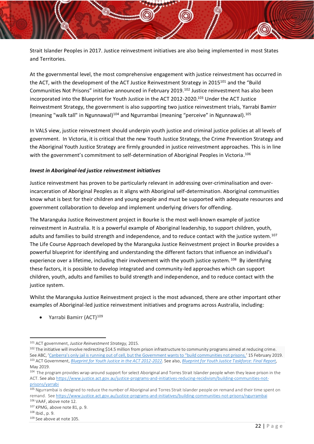Strait Islander Peoples in 2017. Justice reinvestment initiatives are also being implemented in most States and Territories.

At the governmental level, the most comprehensive engagement with justice reinvestment has occurred in the ACT, with the development of the ACT Justice Reinvestment Strategy in  $2015^{101}$  and the "Build" Communities Not Prisons" initiative announced in February 2019.<sup>102</sup> Justice reinvestment has also been incorporated into the Blueprint for Youth Justice in the ACT 2012-2020. <sup>103</sup> Under the ACT Justice Reinvestment Strategy, the government is also supporting two justice reinvestment trials, Yarrabi Bamirr (meaning "walk tall" in Ngunnawal)<sup>104</sup> and Ngurrambai (meaning "perceive" in Ngunnawal).<sup>105</sup>

In VALS view, justice reinvestment should underpin youth justice and criminal justice policies at all levels of government. In Victoria, it is critical that the new Youth Justice Strategy, the Crime Prevention Strategy and the Aboriginal Youth Justice Strategy are firmly grounded in justice reinvestment approaches. This is in line with the government's commitment to self-determination of Aboriginal Peoples in Victoria.<sup>106</sup>

#### *Invest in Aboriginal-led justice reinvestment initiatives*

Justice reinvestment has proven to be particularly relevant in addressing over-criminalisation and overincarceration of Aboriginal Peoples as it aligns with Aboriginal self-determination. Aboriginal communities know what is best for their children and young people and must be supported with adequate resources and government collaboration to develop and implement underlying drivers for offending.

The Maranguka Justice Reinvestment project in Bourke is the most well-known example of justice reinvestment in Australia. It is a powerful example of Aboriginal leadership, to support children, youth, adults and families to build strength and independence, and to reduce contact with the justice system.<sup>107</sup> The Life Course Approach developed by the Maranguka Justice Reinvestment project in Bourke provides a powerful blueprint for identifying and understanding the different factors that influence an individual's experience over a lifetime, including their involvement with the youth justice system.<sup>108</sup> By identifying these factors, it is possible to develop integrated and community-led approaches which can support children, youth, adults and families to build strength and independence, and to reduce contact with the justice system.

Whilst the Maranguka Justice Reinvestment project is the most advanced, there are other important other examples of Aboriginal-led justice reinvestment initiatives and programs across Australia, including:

Yarrabi Bamirr (ACT)<sup>109</sup>

<sup>101</sup> ACT government, *Justice Reinvestment Strategy,* 2015.

 $102$  The initiative will involve redirecting \$14.5 million from prison infrastructure to community programs aimed at reducing crime. See ABC, 'Canb[erra's only jail is running out of cell, but the Government wants to "build communities not prisons,'](https://www.abc.net.au/news/2019-02-15/canberra-jail-cells-at-capacity-crime-prevention/10813580) 15 February 2019. <sup>103</sup> ACT Government, *[Blueprint for Youth Justice in the ACT 2012-2022](https://www.communityservices.act.gov.au/__data/assets/pdf_file/0009/337590/Blueprint_for_Youth_Justice_in_the_ACT_2012-22.pdf)*. See also, *[Blueprint for Youth Justice Taskforce: Final Report,](https://www.communityservices.act.gov.au/__data/assets/pdf_file/0007/1361149/Blueprint-for-Youth-Justice-Taskforce-Final-Report-2019.pdf)* May 2019.

<sup>104</sup> The program provides wrap-around support for select Aboriginal and Torres Strait Islander people when they leave prison in the ACT. See als[o https://www.justice.act.gov.au/justice-programs-and-initiatives-reducing-recidivism/building-communities-not](https://www.justice.act.gov.au/justice-programs-and-initiatives-reducing-recidivism/building-communities-not-prisons/yarrabi)[prisons/yarrabi](https://www.justice.act.gov.au/justice-programs-and-initiatives-reducing-recidivism/building-communities-not-prisons/yarrabi)

<sup>105</sup> Ngurrambai is designed to reduce the number of Aboriginal and Torres Strait Islander people on remand and their time spent on remand. Se[e https://www.justice.act.gov.au/justice-programs-and-initiatives/building-communities-not-prisons/ngurrambai](https://www.justice.act.gov.au/justice-programs-and-initiatives/building-communities-not-prisons/ngurrambai)

<sup>106</sup> VAAF, above not[e 12.](#page-8-5)  <sup>107</sup> KPMG, above not[e 81,](#page-18-1) p. 9.

<sup>108</sup> Ibid., p. 9.

<sup>109</sup> See above at note 105.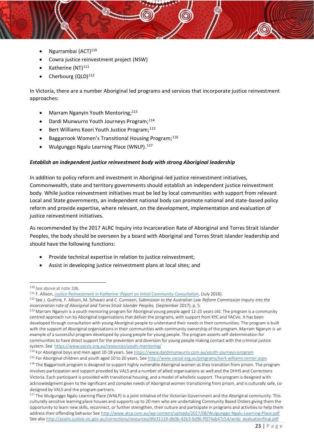- Ngurrambai (ACT) $110$
- Cowra justice reinvestment project (NSW)
- Katherine (NT)<sup>111</sup>
- Cherbourg (QLD)<sup>112</sup>

In Victoria, there are a number Aboriginal led programs and services that incorporate justice reinvestment approaches:

- Marram Nganyin Youth Mentoring;<sup>113</sup>
- Dardi Munwurro Youth Journeys Program; 114
- Bert Williams Koori Youth Justice Program; 115
- Baggarrook Women's Transitional Housing Program; 116
- Wulgunggo Ngalu Learning Place (WNLP). 117

#### *Establish an independent justice reinvestment body with strong Aboriginal leadership*

In addition to policy reform and investment in Aboriginal-led justice reinvestment initiatives, Commonwealth, state and territory governments should establish an independent justice reinvestment body. While justice reinvestment initiatives must be led by local communities with support from relevant Local and State governments, an independent national body can promote national and state-based policy reform and provide expertise, where relevant, on the development, implementation and evaluation of justice reinvestment initiatives.

As recommended by the 2017 ALRC Inquiry into Incarceration Rate of Aboriginal and Torres Strait Islander Peoples, the body should be overseen by a board with Aboriginal and Torres Strait islander leadership and should have the following functions:

- Provide technical expertise in relation to justice reinvestment;
- Assist in developing justice reinvestment plans at local sites; and

<sup>114</sup> For Aboriginal boys and men aged 10-18 years. Se[e https://www.dardimunwurro.com.au/youth-journeys-program](https://www.dardimunwurro.com.au/youth-journeys-program)

<sup>115</sup> For Aboriginal children and youth aged 10 to 20 years. See http://www.vacsal.org.au/programs/bert-williams-center.aspx. <sup>116</sup> The Baggarrook program is designed to support highly vulnerable Aboriginal women as they transition from prison. The program involves participation and support provided by VALS and a number of allied organisations as well and the DHHS and Corrections Victoria. Each participant is provided with transitional housing, and a model of wholistic support. The program is designed with acknowledgment given to the significant and complex needs of Aboriginal women transitioning from prison, and is culturally safe, codesigned by VALS and the program partners.

<sup>110</sup> See above at note 106.

<sup>111</sup> F. Allison, *[Justice Reinvestment in Katherine: Report on Initial Community Consultation](http://youthlaw.asn.au/wp-content/uploads/2016/09/Justice-Reinvestment-in-Katherine-Report-on-Initial-Community-Consultations.pdf)*, (July 2016).

<sup>112</sup> See J. Guthrie, F. Allison, M. Schwarz and C. Cunneen, *Submission to the Australian Law Reform Commission Inquiry into the incarceration rate of Aboriginal and Torres Strait Islander Peoples,* (September 2017), p. 5.

<sup>&</sup>lt;sup>113</sup> Marram Nganyin is a youth mentoring program for Aboriginal young people aged 12-25 years old. The program is a community centred approach run by Aboriginal organisations that deliver the programs, with support from KYC and YACvic. It has been developed through consultation with young Aboriginal people to understand their needs in their communities. The program is built with the support of Aboriginal organisations in their communities with community ownership of the program. Marram Nganyin is an example of a successful program developed by young people for young people. The program asserts self-determination for communities to have direct support for the prevention and diversion for young people making contact with the criminal justice system. See<https://www.yacvic.org.au/resources/youth-mentoring/>

<sup>&</sup>lt;sup>117</sup> The Wulgunggo Ngalu Learning Place (WNLP) is a joint initiative of the Victorian Government and the Aboriginal community. This culturally sensitive learning place houses and supports up to 20 men who are undertaking Community Based Orders giving them the opportunity to learn new skills, reconnect, or further strengthen, their culture and participate in programs and activities to help them address their offending behavior Se[e http://www.atca.com.au/wp-content/uploads/2017/08/Wulgunggo-Ngalu-Learning-Place.pdf](http://www.atca.com.au/wp-content/uploads/2017/08/Wulgunggo-Ngalu-Learning-Place.pdf)  See also [http://assets.justice.vic.gov.au/corrections/resources/dfe31119-db0b-42b3-9d96-ff074ab47c54/wnlp\\_evaluationfinal.pdf](http://assets.justice.vic.gov.au/corrections/resources/dfe31119-db0b-42b3-9d96-ff074ab47c54/wnlp_evaluationfinal.pdf)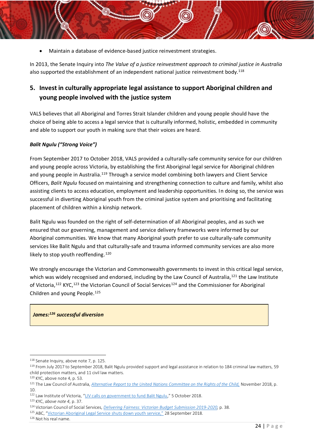• Maintain a database of evidence-based justice reinvestment strategies.

In 2013, the Senate Inquiry into *The Value of a justice reinvestment approach to criminal justice in Australia* also supported the establishment of an independent national justice reinvestment body.<sup>118</sup>

# <span id="page-24-0"></span>**5. Invest in culturally appropriate legal assistance to support Aboriginal children and young people involved with the justice system**

VALS believes that all Aboriginal and Torres Strait Islander children and young people should have the choice of being able to access a legal service that is culturally informed, holistic, embedded in community and able to support our youth in making sure that their voices are heard.

#### *Balit Ngulu ("Strong Voice")*

From September 2017 to October 2018, VALS provided a culturally-safe community service for our children and young people across Victoria, by establishing the first Aboriginal legal service for Aboriginal children and young people in Australia.<sup>119</sup> Through a service model combining both lawyers and Client Service Officers, *Balit Ngulu* focused on maintaining and strengthening connection to culture and family, whilst also assisting clients to access education, employment and leadership opportunities. In doing so, the service was successful in diverting Aboriginal youth from the criminal justice system and prioritising and facilitating placement of children within a kinship network.

Balit Ngulu was founded on the right of self-determination of all Aboriginal peoples, and as such we ensured that our governing, management and service delivery frameworks were informed by our Aboriginal communities. We know that many Aboriginal youth prefer to use culturally-safe community services like Balit Ngulu and that culturally-safe and trauma informed community services are also more likely to stop youth reoffending.<sup>120</sup>

We strongly encourage the Victorian and Commonwealth governments to invest in this critical legal service, which was widely recognised and endorsed, including by the Law Council of Australia,<sup>121</sup> the Law Institute of Victoria,<sup>122</sup> KYC,<sup>123</sup> the Victorian Council of Social Services<sup>124</sup> and the Commissioner for Aboriginal Children and young People.<sup>125</sup>

#### *James:<sup>126</sup> successful diversion*

<sup>118</sup> Senate Inquiry, above not[e 7,](#page-6-0) p. 125.

<sup>&</sup>lt;sup>119</sup> From July 2017 to September 2018, Balit Ngulu provided support and legal assistance in relation to 184 criminal law matters, 59 child protection matters, and 11 civil law matters.

<sup>120</sup> KYC, above not[e 4,](#page-3-0) p. 53.

<sup>&</sup>lt;sup>121</sup> The Law Council of Australia, *[Alternative Report to the United Nations Committee on the Rights of the Child,](https://www.lawcouncil.asn.au/resources/submissions/alternative-report-to-the-united-nations-committee-on-the-rights-of-the-child)* November 2018, p. 10.

<sup>122</sup> Law Institute of Victoria, "[LIV calls on government to fund Balit Ngulu](https://www.liv.asn.au/Staying-Informed/Submissions/submissions/October-2018/LIV-calls-on-government-to-fund-Balit-Ngulu)," 5 October 2018.

<sup>123</sup> KYC, *above note [4](#page-3-0)*, p. 37.

<sup>124</sup> Victorian Council of Social Services, *[Delivering Fairness: Victorian Budget Submission 2019-2020,](https://vcoss.org.au/wp-content/uploads/2019/03/DF_Online.pdf)* p. 38.

<sup>125</sup> ABC, ["Victorian Aboriginal Legal Service shuts down youth service,"](https://www.abc.net.au/news/2018-09-28/victorian-aboriginal-legal-service-shuts-down-youth-service/10315948) 28 September 2018.

<sup>126</sup> Not his real name.